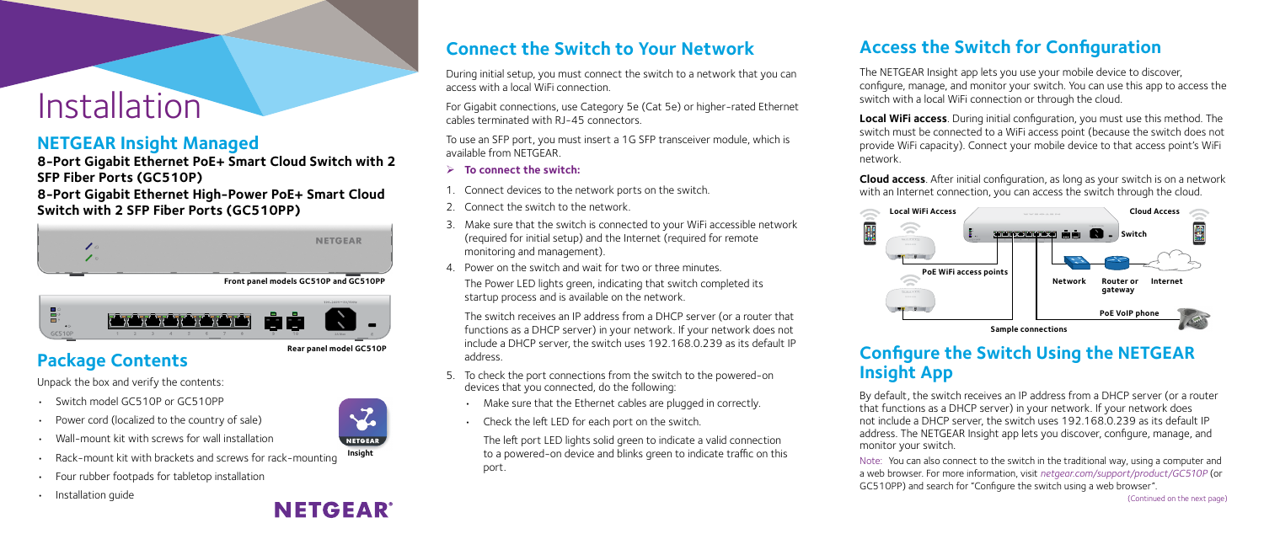## Installation

**Connect the Switch to Your Network**



For Gigabit connections, use Category 5e (Cat 5e) or higher-rated Ethernet cables terminated with RJ-45 connectors.

To use an SFP port, you must insert a 1G SFP transceiver module, which is available from NETGEAR.

- 5. To check the port connections from the switch to the powered-on devices that you connected, do the following:
	- Make sure that the Ethernet cables are plugged in correctly.
	- Check the left LED for each port on the switch.
- ¾ **To connect the switch:**
- 1. Connect devices to the network ports on the switch.
- 2. Connect the switch to the network.
- 3. Make sure that the switch is connected to your WiFi accessible network (required for initial setup) and the Internet (required for remote monitoring and management).
- 4. Power on the switch and wait for two or three minutes.

The Power LED lights green, indicating that switch completed its startup process and is available on the network.

The switch receives an IP address from a DHCP server (or a router that functions as a DHCP server) in your network. If your network does not include a DHCP server, the switch uses 192.168.0.239 as its default IP address.

The left port LED lights solid green to indicate a valid connection to a powered-on device and blinks green to indicate traffic on this port.

### **NETGEAR Insight Managed**

**8-Port Gigabit Ethernet PoE+ Smart Cloud Switch with 2 SFP Fiber Ports (GC510P)**

**8-Port Gigabit Ethernet High-Power PoE+ Smart Cloud Switch with 2 SFP Fiber Ports (GC510PP)**

| $\triangle$ | <b>NETGEAR</b> |
|-------------|----------------|
| (1)         |                |
|             |                |

## **Package Contents**

Unpack the box and verify the contents:

- Switch model GC510P or GC510PP
- Power cord (localized to the country of sale)
- Wall-mount kit with screws for wall installation
- Rack-mount kit with brackets and screws for rack-mounting
- Four rubber footpads for tabletop installation



## **Access the Switch for Configuration**

The NETGEAR Insight app lets you use your mobile device to discover, configure, manage, and monitor your switch. You can use this app to access the switch with a local WiFi connection or through the cloud.

**Local WiFi access**. During initial configuration, you must use this method. The switch must be connected to a WiFi access point (because the switch does not provide WiFi capacity). Connect your mobile device to that access point's WiFi network.

**Cloud access**. After initial configuration, as long as your switch is on a network with an Internet connection, you can access the switch through the cloud.

## **Configure the Switch Using the NETGEAR**

# **Insight App**

By default, the switch receives an IP address from a DHCP server (or a router that functions as a DHCP server) in your network. If your network does not include a DHCP server, the switch uses 192.168.0.239 as its default IP address. The NETGEAR Insight app lets you discover, configure, manage, and monitor your switch. Note: You can also connect to the switch in the traditional way, using a computer and a web browser. For more information, visit *[netgear.com/support/product/GC510P](http://netgear.com/support/product/GC510P)* (or GC510PP) and search for "Configure the switch using a web browser".





**Front panel models GC510P and GC510PP**

(Continued on the next page)